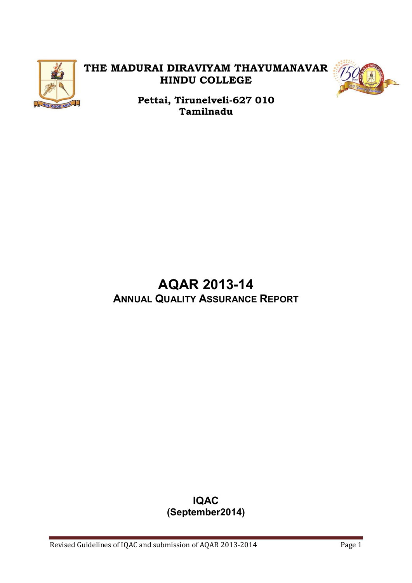

## **THE MADURAI DIRAVIYAM THAYUMANAVAR HINDU COLLEGE**



**Pettai, Tirunelveli-627 010 Tamilnadu** 

## **AQAR 2013-14 ANNUAL QUALITY ASSURANCE REPORT**

## **IQAC (September2014)**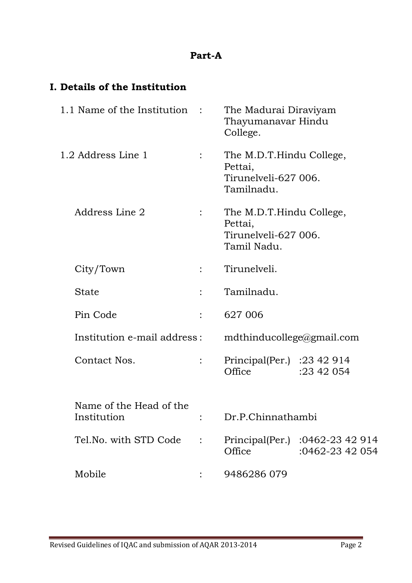## **Part-A**

## **I. Details of the Institution**

| 1.1 Name of the Institution            |                | The Madurai Diraviyam<br>Thayumanavar Hindu<br>College.                    |                                    |
|----------------------------------------|----------------|----------------------------------------------------------------------------|------------------------------------|
| 1.2 Address Line 1                     |                | The M.D.T.Hindu College,<br>Pettai,<br>Tirunelveli-627 006.<br>Tamilnadu.  |                                    |
| Address Line 2                         |                | The M.D.T.Hindu College,<br>Pettai,<br>Tirunelveli-627 006.<br>Tamil Nadu. |                                    |
| City/Town                              |                | Tirunelveli.                                                               |                                    |
| <b>State</b>                           | $\ddot{\cdot}$ | Tamilnadu.                                                                 |                                    |
| Pin Code                               |                | 627 006                                                                    |                                    |
| Institution e-mail address:            |                | mdthinducollege@gmail.com                                                  |                                    |
| Contact Nos.                           |                | Principal(Per.) : $23\,42\,914$<br>Office                                  | :23 42 054                         |
| Name of the Head of the<br>Institution |                | Dr.P.Chinnathambi                                                          |                                    |
| Tel. No. with STD Code                 |                | Principal(Per.)<br>Office                                                  | :0462-23 42 914<br>:0462-23 42 054 |
| Mobile                                 |                | 9486286 079                                                                |                                    |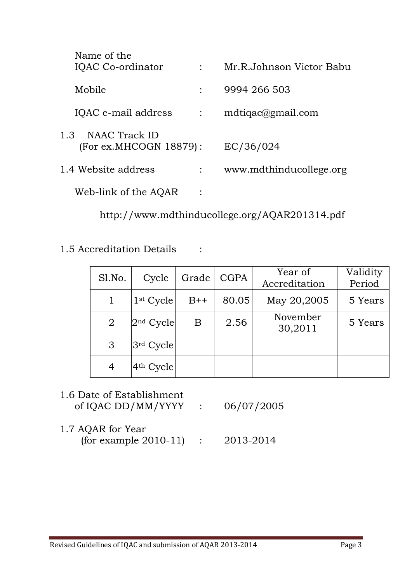| Name of the<br>IQAC Co-ordinator               |                | Mr.R.Johnson Victor Babu |
|------------------------------------------------|----------------|--------------------------|
| Mobile                                         |                | 9994 266 503             |
| IQAC e-mail address                            | $\ddot{\cdot}$ | $mdtiqac \& gmail.com$   |
| 1.3<br>NAAC Track ID<br>(For ex.MHCOGN 18879): |                | EC/36/024                |
| 1.4 Website address                            |                | www.mdthinducollege.org  |
| Web-link of the AQAR                           |                |                          |

http://www.mdthinducollege.org/AQAR201314.pdf

1.5 Accreditation Details :

| Sl.No.         | Cycle       | Grade | <b>CGPA</b> | Year of<br>Accreditation | Validity<br>Period |
|----------------|-------------|-------|-------------|--------------------------|--------------------|
|                | $1st$ Cycle | $B++$ | 80.05       | May 20,2005              | 5 Years            |
| $\overline{2}$ | $2nd$ Cycle | B     | 2.56        | November<br>30,2011      | 5 Years            |
| 3              | $3rd$ Cycle |       |             |                          |                    |
| 4              | $4th$ Cycle |       |             |                          |                    |

## 1.6 Date of Establishment of IQAC DD/MM/YYYY : 06/07/2005

1.7 AQAR for Year (for example 2010-11) : 2013-2014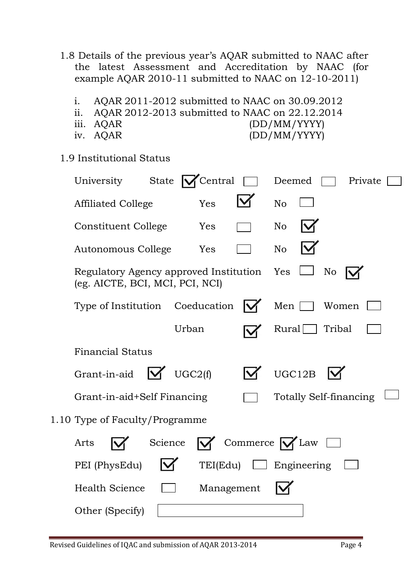- 1.8 Details of the previous year's AQAR submitted to NAAC after the latest Assessment and Accreditation by NAAC (for example AQAR 2010-11 submitted to NAAC on 12-10-2011)
	- i. AQAR 2011-2012 submitted to NAAC on 30.09.2012
	- ii. AQAR 2012-2013 submitted to NAAC on 22.12.2014
	-
	-
	- iii. AQAR (DD/MM/YYYY) iv. AQAR (DD/MM/YYYY)
- 1.9 Institutional Status

| State  <br>University                                                         | Central  |            | Deemed                 |                               | Private |
|-------------------------------------------------------------------------------|----------|------------|------------------------|-------------------------------|---------|
| <b>Affiliated College</b>                                                     | Yes      |            | N <sub>o</sub>         |                               |         |
| <b>Constituent College</b>                                                    | Yes      |            | N <sub>o</sub>         |                               |         |
| Autonomous College                                                            | Yes      |            | N <sub>o</sub>         |                               |         |
| Regulatory Agency approved Institution Yes<br>(eg. AICTE, BCI, MCI, PCI, NCI) |          |            |                        | No                            |         |
| Type of Institution Coeducation                                               |          |            | Men                    | Women                         |         |
|                                                                               | Urban    |            | Rural                  | Tribal                        |         |
| <b>Financial Status</b>                                                       |          |            |                        |                               |         |
| M<br>Grant-in-aid                                                             | UGC2(f)  |            | UGC12B                 |                               |         |
| Grant-in-aid+Self Financing                                                   |          |            |                        | <b>Totally Self-financing</b> |         |
| 1.10 Type of Faculty/Programme                                                |          |            |                        |                               |         |
| Arts                                                                          | Science  |            | Commerce $\bigvee$ Law |                               |         |
| PEI (PhysEdu)                                                                 | TEI(Edu) |            | $\Box$ Engineering     |                               |         |
| <b>Health Science</b>                                                         |          | Management |                        |                               |         |
| Other (Specify)                                                               |          |            |                        |                               |         |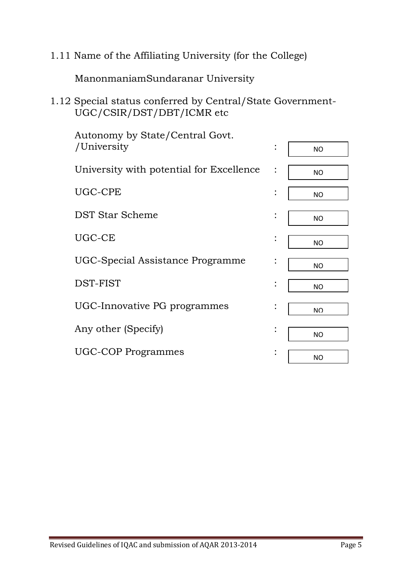1.11 Name of the Affiliating University (for the College)

ManonmaniamSundaranar University

1.12 Special status conferred by Central/State Government-UGC/CSIR/DST/DBT/ICMR etc

| Autonomy by State/Central Govt.          |                |                |
|------------------------------------------|----------------|----------------|
| /University                              | $\ddot{\cdot}$ | <b>NO</b>      |
| University with potential for Excellence | $\ddot{\cdot}$ | <b>NO</b>      |
| UGC-CPE                                  |                | <b>NO</b>      |
| <b>DST Star Scheme</b>                   | $\ddot{\cdot}$ | <b>NO</b>      |
| UGC-CE                                   | $\bullet$      | <b>NO</b>      |
| UGC-Special Assistance Programme         | :              | <b>NO</b>      |
| DST-FIST                                 |                | <b>NO</b>      |
| UGC-Innovative PG programmes             |                | N <sub>O</sub> |
| Any other (Specify)                      | $\bullet$      | <b>NO</b>      |
| <b>UGC-COP Programmes</b>                |                | <b>NO</b>      |
|                                          |                |                |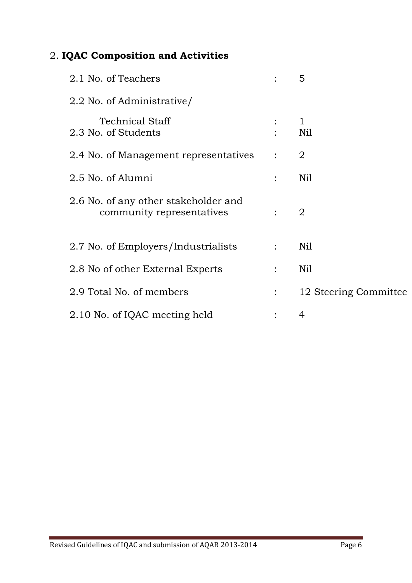## 2. **IQAC Composition and Activities**

| 2.1 No. of Teachers                                               |                           | 5                     |
|-------------------------------------------------------------------|---------------------------|-----------------------|
| 2.2 No. of Administrative/                                        |                           |                       |
| <b>Technical Staff</b><br>2.3 No. of Students                     |                           | $\mathbf{1}$<br>Nil   |
| 2.4 No. of Management representatives                             | $\mathcal{L}$             | 2                     |
| 2.5 No. of Alumni                                                 |                           | N <sub>il</sub>       |
| 2.6 No. of any other stakeholder and<br>community representatives |                           | 2                     |
| 2.7 No. of Employers/Industrialists                               | $\mathbb{R}^{\mathbb{Z}}$ | Nil                   |
| 2.8 No of other External Experts                                  |                           | Nil                   |
| 2.9 Total No. of members                                          | $\ddot{\cdot}$            | 12 Steering Committee |
| 2.10 No. of IQAC meeting held                                     |                           | 4                     |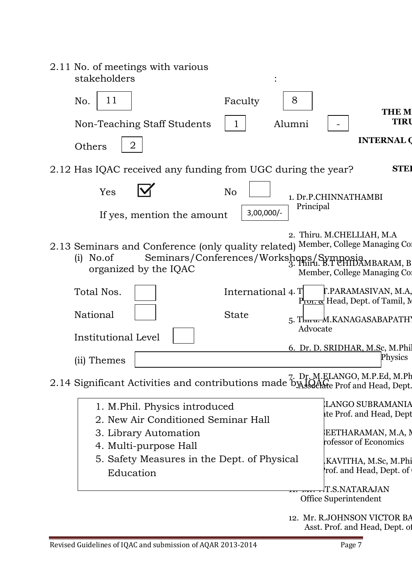| 2.11 No. of meetings with various<br>stakeholders                                                                                                                             |                   |           |                                                                   |                   |
|-------------------------------------------------------------------------------------------------------------------------------------------------------------------------------|-------------------|-----------|-------------------------------------------------------------------|-------------------|
| 11<br>No.                                                                                                                                                                     | Faculty           | 8         |                                                                   | <b>THE M</b>      |
| Non-Teaching Staff Students                                                                                                                                                   | 1                 | Alumni    |                                                                   | <b>TIRU</b>       |
| $\overline{2}$<br>Others                                                                                                                                                      |                   |           |                                                                   | <b>INTERNAL O</b> |
| 2.12 Has IQAC received any funding from UGC during the year?                                                                                                                  |                   |           |                                                                   | <b>STEI</b>       |
| Yes<br>N <sub>o</sub>                                                                                                                                                         |                   |           | 1. Dr.P.CHINNATHAMBI                                              |                   |
| If yes, mention the amount                                                                                                                                                    | $3,00,000/-$      | Principal |                                                                   |                   |
| 2.13 Seminars and Conference (only quality related) Member, College Managing Co.<br>$(i)$ No.of<br>Seminars/Conferences/Workshops/Symposia MBARAM, B<br>organized by the IQAC |                   |           | 2. Thiru. M.CHELLIAH, M.A.<br>Member, College Managing Col        |                   |
| Total Nos.                                                                                                                                                                    | International 4.T |           | T.PARAMASIVAN, M.A,<br>P <del>roned</del> Head, Dept. of Tamil, M |                   |
| National                                                                                                                                                                      | <b>State</b>      | Advocate  | 5. Thnu. M.KANAGASABAPATH)                                        |                   |
| Institutional Level                                                                                                                                                           |                   |           |                                                                   |                   |
| (ii) Themes                                                                                                                                                                   |                   |           | 6. Dr. D. SRIDHAR, M.Sc, M.Phil                                   | Physics           |
| 2.14 Significant Activities and contributions made by Joan Prof and Head, Dept.                                                                                               |                   |           | 7. Dr. M.ELANGO, M.P.Ed, M.Ph                                     |                   |
| 1. M.Phil. Physics introduced<br>2. New Air Conditioned Seminar Hall                                                                                                          |                   |           | <b>LANGO SUBRAMANIA</b><br>te Prof. and Head, Dept                |                   |
| 3. Library Automation                                                                                                                                                         |                   |           | EETHARAMAN, M.A, N<br>rofessor of Economics                       |                   |
| 4. Multi-purpose Hall<br>5. Safety Measures in the Dept. of Physical<br>Education                                                                                             |                   |           | KAVITHA, M.Sc, M.Phi.<br>rof. and Head, Dept. of                  |                   |
|                                                                                                                                                                               |                   |           | T.S.NATARAJAN                                                     |                   |
|                                                                                                                                                                               |                   |           | Office Superintendent                                             |                   |
|                                                                                                                                                                               |                   |           | 12. Mr. R.JOHNSON VICTOR BA<br>Asst. Prof. and Head, Dept. of     |                   |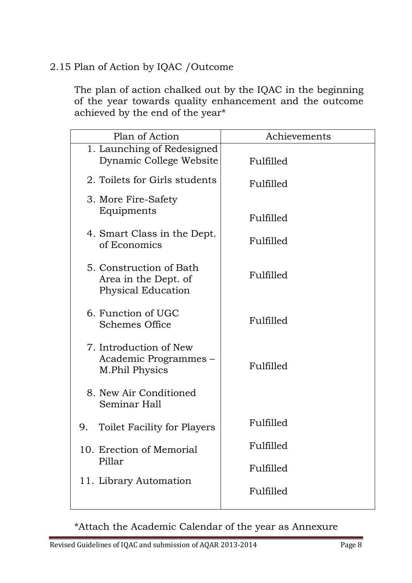## 2.15 Plan of Action by IQAC /Outcome

The plan of action chalked out by the IQAC in the beginning of the year towards quality enhancement and the outcome achieved by the end of the year\*

| Plan of Action                                                        | Achievements     |
|-----------------------------------------------------------------------|------------------|
| 1. Launching of Redesigned<br>Dynamic College Website                 | Fulfilled        |
| 2. Toilets for Girls students                                         | Fulfilled        |
| 3. More Fire-Safety<br>Equipments                                     | Fulfilled        |
| 4. Smart Class in the Dept.<br>of Economics                           | Fulfilled        |
| 5. Construction of Bath<br>Area in the Dept. of<br>Physical Education | Fulfilled        |
| 6. Function of UGC<br><b>Schemes Office</b>                           | Fulfilled        |
| 7. Introduction of New<br>Academic Programmes –<br>M.Phil Physics     | Fulfilled        |
| 8. New Air Conditioned<br>Seminar Hall                                |                  |
| <b>Toilet Facility for Players</b><br>9.                              | <b>Fulfilled</b> |
| 10. Erection of Memorial<br>Pillar                                    | Fulfilled        |
| 11. Library Automation                                                | Fulfilled        |
|                                                                       | Fulfilled        |

\*Attach the Academic Calendar of the year as Annexure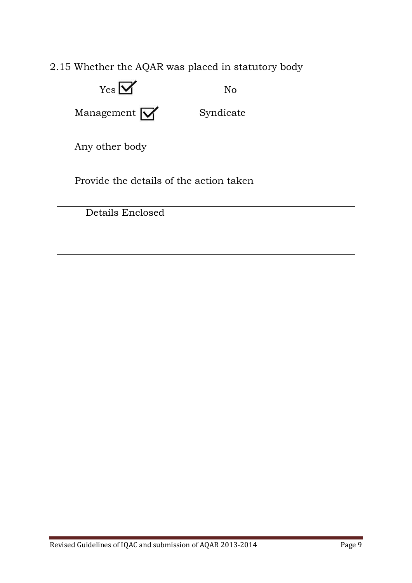2.15 Whether the AQAR was placed in statutory body



Provide the details of the action taken

Details Enclosed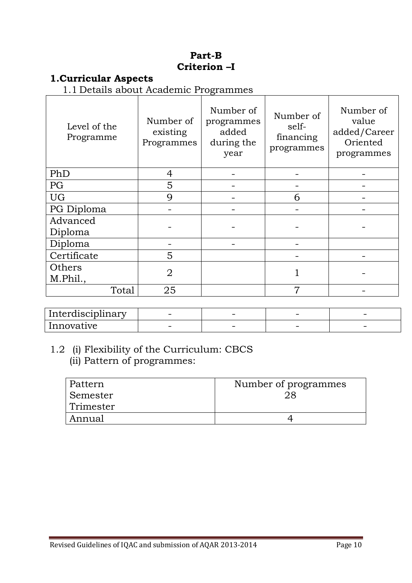## **Part-B Criterion –I**

## **1.Curricular Aspects**

1.1 Details about Academic Programmes

| Level of the<br>Programme | Number of<br>existing<br>Programmes | Number of<br>programmes<br>added<br>during the<br>year | Number of<br>self-<br>financing<br>programmes | Number of<br>value<br>added/Career<br>Oriented<br>programmes |
|---------------------------|-------------------------------------|--------------------------------------------------------|-----------------------------------------------|--------------------------------------------------------------|
| PhD                       | 4                                   |                                                        |                                               |                                                              |
| PG                        | 5                                   |                                                        |                                               |                                                              |
| <b>UG</b>                 | 9                                   |                                                        | 6                                             |                                                              |
| PG Diploma                |                                     |                                                        |                                               |                                                              |
| Advanced<br>Diploma       |                                     |                                                        |                                               |                                                              |
| Diploma                   |                                     |                                                        |                                               |                                                              |
| Certificate               | 5                                   |                                                        |                                               |                                                              |
| Others<br>M.Phil.,        | $\overline{2}$                      |                                                        |                                               |                                                              |
| Total                     | 25                                  |                                                        | 7                                             |                                                              |

| . .<br>Interdisciplinary | $\overline{\phantom{0}}$ | $\overline{\phantom{a}}$ | $\overline{\phantom{0}}$ |  |
|--------------------------|--------------------------|--------------------------|--------------------------|--|
| Innovative               | $\overline{\phantom{a}}$ | $\overline{\phantom{a}}$ |                          |  |

## 1.2 (i) Flexibility of the Curriculum: CBCS (ii) Pattern of programmes:

| Pattern   | Number of programmes |
|-----------|----------------------|
| ⊦Semester |                      |
| Trimester |                      |
| Annual    |                      |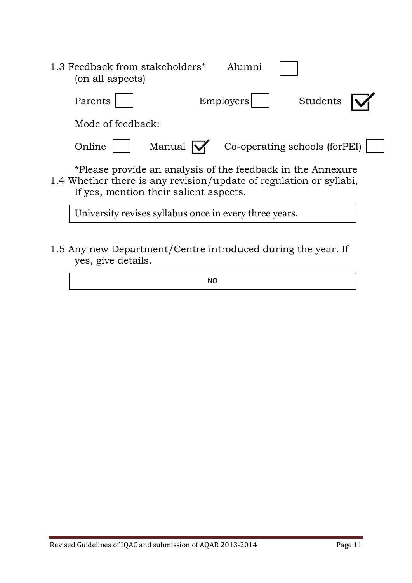| 1.3 Feedback from stakeholders*<br>Alumni<br>(on all aspects)                                                                                                               |  |
|-----------------------------------------------------------------------------------------------------------------------------------------------------------------------------|--|
| Students<br>Employers <br>Parents                                                                                                                                           |  |
| Mode of feedback:                                                                                                                                                           |  |
| Manual $\mathsf{W}$<br>Co-operating schools (forPEI)<br>Online                                                                                                              |  |
| *Please provide an analysis of the feedback in the Annexure<br>1.4 Whether there is any revision/update of regulation or syllabi,<br>If yes, mention their salient aspects. |  |

University revises syllabus once in every three years.

 $\overline{a}$ 

1.5 Any new Department/Centre introduced during the year. If yes, give details.

NO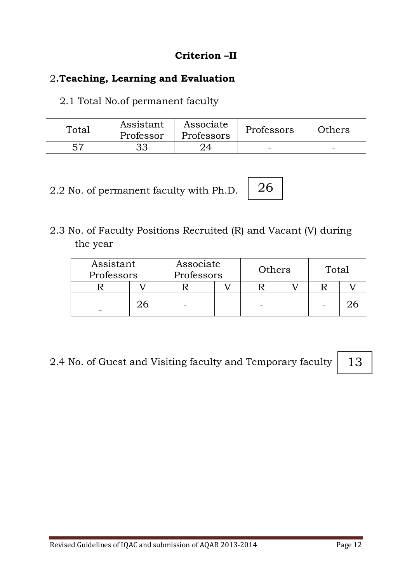## **Criterion –II**

## 2**.Teaching, Learning and Evaluation**

2.1 Total No.of permanent faculty

| Total | Assistant<br>Professor | Associate<br>Professors | Professors | Others |
|-------|------------------------|-------------------------|------------|--------|
| 57    | つっ                     |                         |            |        |

2.2 No. of permanent faculty with Ph.D.

2.3 No. of Faculty Positions Recruited (R) and Vacant (V) during the year

| Assistant<br>Professors |  | Associate<br>Professors |  | Others | Total |  |
|-------------------------|--|-------------------------|--|--------|-------|--|
|                         |  |                         |  |        |       |  |
|                         |  |                         |  |        |       |  |

26

2.4 No. of Guest and Visiting faculty and Temporary faculty

13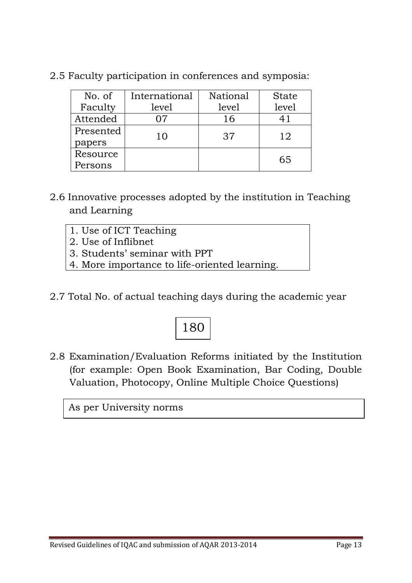| No. of    | International | National | <b>State</b> |
|-----------|---------------|----------|--------------|
| Faculty   | level         | level    | level        |
| Attended  |               | 16       | 41           |
| Presented | 10            | 37       | 12           |
| papers    |               |          |              |
| Resource  |               |          | 65           |
| Persons   |               |          |              |

2.5 Faculty participation in conferences and symposia:

- 2.6 Innovative processes adopted by the institution in Teaching and Learning
	- 1. Use of ICT Teaching
	- 2. Use of Inflibnet
	- 3. Students' seminar with PPT
	- 4. More importance to life-oriented learning.
- 2.7 Total No. of actual teaching days during the academic year

# 180

2.8 Examination/Evaluation Reforms initiated by the Institution (for example: Open Book Examination, Bar Coding, Double Valuation, Photocopy, Online Multiple Choice Questions)

As per University norms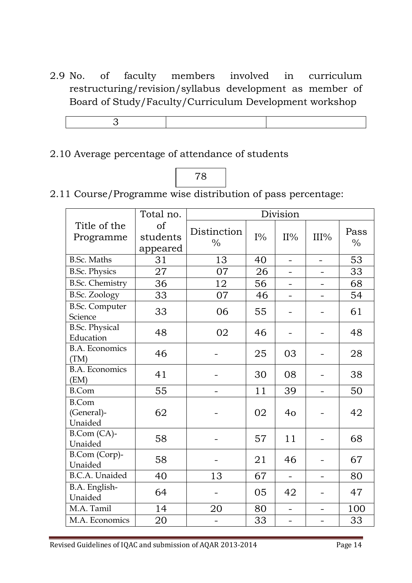2.9 No. of faculty members involved in curriculum restructuring/revision/syllabus development as member of Board of Study/Faculty/Curriculum Development workshop

## 2.10 Average percentage of attendance of students



2.11 Course/Programme wise distribution of pass percentage:

|                                       | Total no.                  |                              |       | Division                 |      |                       |
|---------------------------------------|----------------------------|------------------------------|-------|--------------------------|------|-----------------------|
| Title of the<br>Programme             | of<br>students<br>appeared | Distinction<br>$\frac{0}{0}$ | $I\%$ | $II\%$                   | III% | Pass<br>$\frac{0}{0}$ |
| <b>B.Sc. Maths</b>                    | 31                         | 13                           | 40    | -                        | -    | 53                    |
| <b>B.Sc. Physics</b>                  | 27                         | 07                           | 26    |                          |      | 33                    |
| <b>B.Sc. Chemistry</b>                | 36                         | 12                           | 56    |                          |      | 68                    |
| <b>B.Sc. Zoology</b>                  | 33                         | 07                           | 46    | $\overline{\phantom{0}}$ |      | 54                    |
| <b>B.Sc. Computer</b><br>Science      | 33                         | 06                           | 55    |                          |      | 61                    |
| <b>B.Sc. Physical</b><br>Education    | 48                         | 02                           | 46    |                          |      | 48                    |
| <b>B.A. Economics</b><br>(TM)         | 46                         |                              | 25    | 03                       |      | 28                    |
| <b>B.A. Economics</b><br>(EM)         | 41                         |                              | 30    | 08                       |      | 38                    |
| <b>B.Com</b>                          | 55                         |                              | 11    | 39                       |      | 50                    |
| <b>B.Com</b><br>(General)-<br>Unaided | 62                         |                              | 02    | 4 <sub>o</sub>           |      | 42                    |
| B.Com (CA)-<br>Unaided                | 58                         |                              | 57    | 11                       |      | 68                    |
| B.Com (Corp)-<br>Unaided              | 58                         |                              | 21    | 46                       |      | 67                    |
| <b>B.C.A.</b> Unaided                 | 40                         | 13                           | 67    | $\overline{\phantom{0}}$ | ÷    | 80                    |
| B.A. English-<br>Unaided              | 64                         |                              | 05    | 42                       |      | 47                    |
| M.A. Tamil                            | 14                         | 20                           | 80    | $\qquad \qquad -$        |      | 100                   |
| M.A. Economics                        | 20                         |                              | 33    |                          |      | 33                    |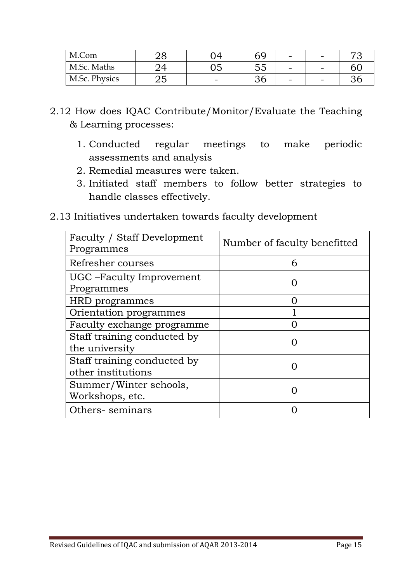| M.Com         |    | ገ4 | ny           | $\overline{\phantom{a}}$ | - | −7 |
|---------------|----|----|--------------|--------------------------|---|----|
| M.Sc. Maths   |    |    | -<br>∽<br>ഄഄ | $\overline{\phantom{a}}$ | - |    |
| M.Sc. Physics | ∠∪ | -  | ັບ           | $\overline{\phantom{0}}$ | - | ົ  |

- 2.12 How does IQAC Contribute/Monitor/Evaluate the Teaching & Learning processes:
	- 1. Conducted regular meetings to make periodic assessments and analysis
	- 2. Remedial measures were taken.
	- 3. Initiated staff members to follow better strategies to handle classes effectively.
- 2.13 Initiatives undertaken towards faculty development

| Faculty / Staff Development<br>Programmes         | Number of faculty benefitted |
|---------------------------------------------------|------------------------------|
| Refresher courses                                 | 6                            |
| UGC – Faculty Improvement<br>Programmes           |                              |
| HRD programmes                                    |                              |
| Orientation programmes                            |                              |
| Faculty exchange programme                        |                              |
| Staff training conducted by<br>the university     |                              |
| Staff training conducted by<br>other institutions |                              |
| Summer/Winter schools,<br>Workshops, etc.         |                              |
| Others-seminars                                   |                              |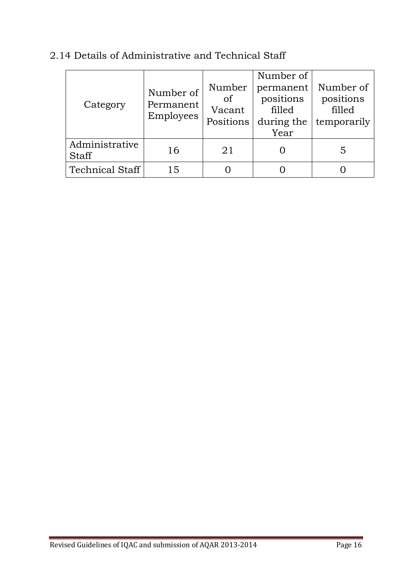| Category                       | Number of<br>Permanent<br>Employees | Number<br>of<br>Vacant<br>Positions | Number of<br>permanent<br>positions<br>filled<br>during the<br>Year | Number of<br>positions<br>filled<br>temporarily |
|--------------------------------|-------------------------------------|-------------------------------------|---------------------------------------------------------------------|-------------------------------------------------|
| Administrative<br><b>Staff</b> | 16                                  | 21                                  |                                                                     | 5                                               |
| <b>Technical Staff</b>         | 15                                  |                                     |                                                                     |                                                 |

## 2.14 Details of Administrative and Technical Staff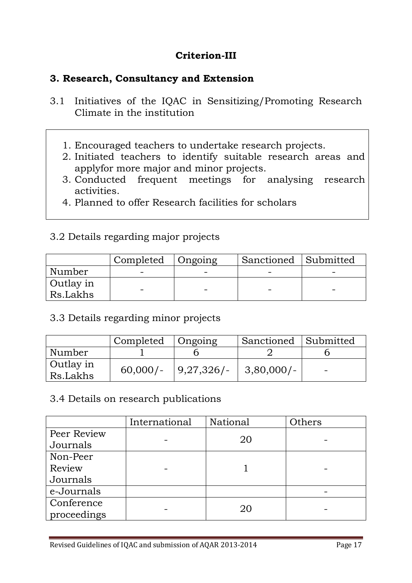## **Criterion-III**

## **3. Research, Consultancy and Extension**

- 3.1 Initiatives of the IQAC in Sensitizing/Promoting Research Climate in the institution
	- 1. Encouraged teachers to undertake research projects.
	- 2. Initiated teachers to identify suitable research areas and applyfor more major and minor projects.
	- 3. Conducted frequent meetings for analysing research activities.
	- 4. Planned to offer Research facilities for scholars

## 3.2 Details regarding major projects

|                       | Completed | ∣ Ongoing | Sanctioned Submitted |  |
|-----------------------|-----------|-----------|----------------------|--|
| Number                |           |           |                      |  |
| Outlay in<br>Rs.Lakhs |           |           |                      |  |

## 3.3 Details regarding minor projects

|                       | Completed  | Ongoing        | Sanctioned Submitted |  |
|-----------------------|------------|----------------|----------------------|--|
| Number                |            |                |                      |  |
| Outlay in<br>Rs.Lakhs | $60,000/-$ | $ 9,27,326$ /- | $ 3,80,000/$ -       |  |

#### 3.4 Details on research publications

|             | International | National | Others |
|-------------|---------------|----------|--------|
| Peer Review |               | 20       |        |
| Journals    |               |          |        |
| Non-Peer    |               |          |        |
| Review      |               |          |        |
| Journals    |               |          |        |
| e-Journals  |               |          |        |
| Conference  |               | 20       |        |
| proceedings |               |          |        |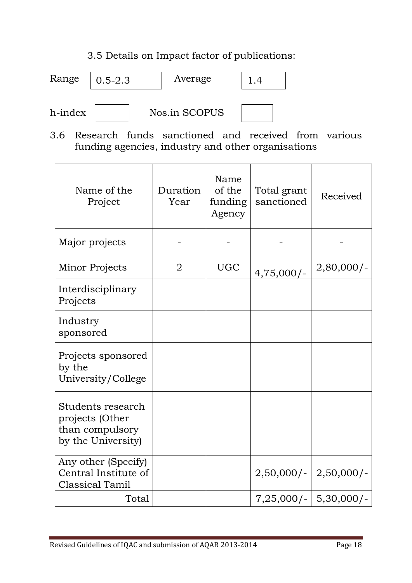## 3.5 Details on Impact factor of publications:



3.6 Research funds sanctioned and received from various funding agencies, industry and other organisations

| Name of the<br>Project                                                        | Duration<br>Year | Name<br>of the<br>funding<br>Agency | Total grant<br>sanctioned | Received                   |
|-------------------------------------------------------------------------------|------------------|-------------------------------------|---------------------------|----------------------------|
| Major projects                                                                |                  |                                     |                           |                            |
| Minor Projects                                                                | $\overline{2}$   | <b>UGC</b>                          | $4,75,000/-$              | $2,80,000/-$               |
| Interdisciplinary<br>Projects                                                 |                  |                                     |                           |                            |
| Industry<br>sponsored                                                         |                  |                                     |                           |                            |
| Projects sponsored<br>by the<br>University/College                            |                  |                                     |                           |                            |
| Students research<br>projects (Other<br>than compulsory<br>by the University) |                  |                                     |                           |                            |
| Any other (Specify)<br>Central Institute of<br><b>Classical Tamil</b>         |                  |                                     | $2,50,000/$ -             | $2,50,000/-$               |
| Total                                                                         |                  |                                     |                           | $7,25,000/$ -   5,30,000/- |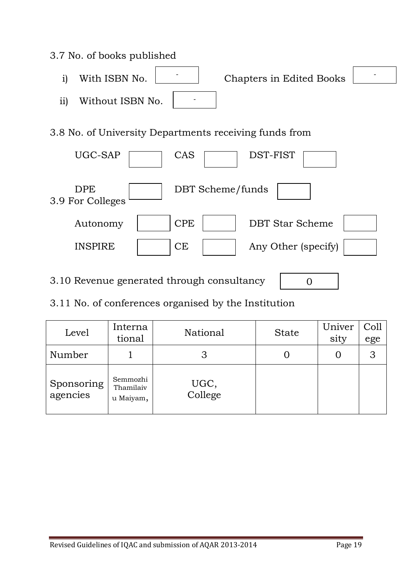# 3.7 No. of books published i) With ISBN No. **Chapters** in Edited Books ii) Without ISBN No. 3.8 No. of University Departments receiving funds from UGC-SAP CAS DST-FIST DPE | DBT Scheme/funds 3.9 For Colleges Autonomy | CPE | DBT Star Scheme  $INSPIRE$   $|CE$   $|$  Any Other (specify) -

3.10 Revenue generated through consultancy  $\Omega$ 

3.11 No. of conferences organised by the Institution

| Level                  | Interna<br>tional                  | National        | <b>State</b> | Univer<br>sity | Coll<br>ege |
|------------------------|------------------------------------|-----------------|--------------|----------------|-------------|
| Number                 |                                    | З               |              |                | 3           |
| Sponsoring<br>agencies | Semmozhi<br>Thamilaiv<br>u Maiyam, | UGC,<br>College |              |                |             |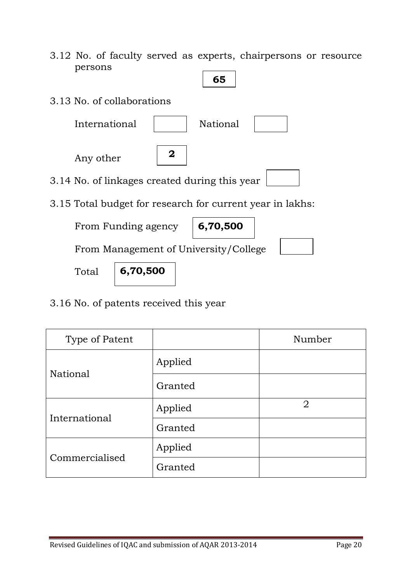- 3.12 No. of faculty served as experts, chairpersons or resource persons
- 3.13 No. of collaborations International | National Any other 3.14 No. of linkages created during this year 3.15 Total budget for research for current year in lakhs: From Funding agency From Management of University/College Total **65 2 6,70,500 6,70,500**
- 3.16 No. of patents received this year

| Type of Patent |         | Number         |
|----------------|---------|----------------|
|                | Applied |                |
| National       | Granted |                |
| International  | Applied | $\overline{2}$ |
|                | Granted |                |
| Commercialised | Applied |                |
|                | Granted |                |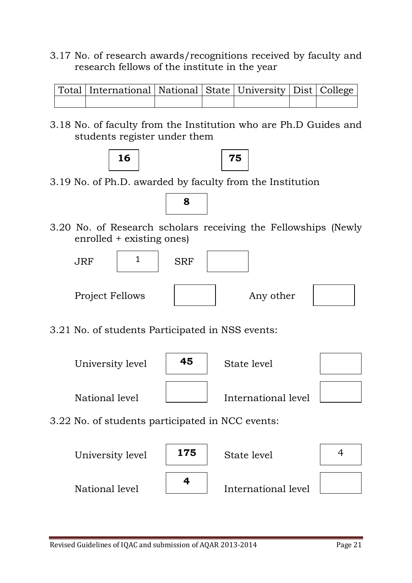3.17 No. of research awards/recognitions received by faculty and research fellows of the institute in the year

|  | Total   International   National   State   University   Dist   College |  |  |  |
|--|------------------------------------------------------------------------|--|--|--|
|  |                                                                        |  |  |  |

3.18 No. of faculty from the Institution who are Ph.D Guides and students register under them





3.19 No. of Ph.D. awarded by faculty from the Institution



3.20 No. of Research scholars receiving the Fellowships (Newly enrolled + existing ones)



3.21 No. of students Participated in NSS events:



3.22 No. of students participated in NCC events:

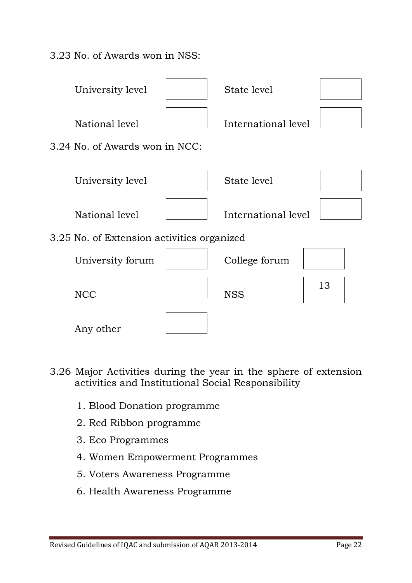3.23 No. of Awards won in NSS:



- 3.26 Major Activities during the year in the sphere of extension activities and Institutional Social Responsibility
	- 1. Blood Donation programme
	- 2. Red Ribbon programme
	- 3. Eco Programmes
	- 4. Women Empowerment Programmes
	- 5. Voters Awareness Programme
	- 6. Health Awareness Programme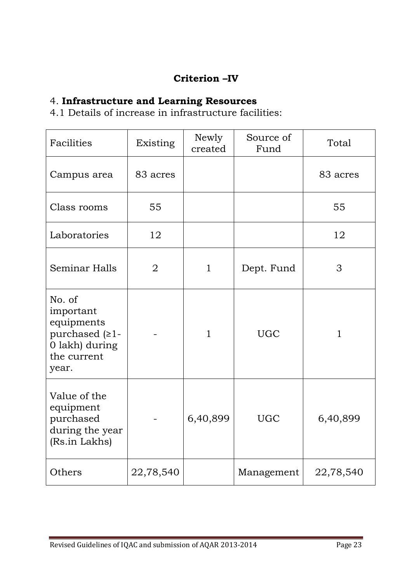## **Criterion –IV**

## 4. **Infrastructure and Learning Resources**

4.1 Details of increase in infrastructure facilities:

| Facilities                                                                                       | Existing       | Newly<br>created | Source of<br>Fund | Total        |
|--------------------------------------------------------------------------------------------------|----------------|------------------|-------------------|--------------|
| Campus area                                                                                      | 83 acres       |                  |                   | 83 acres     |
| Class rooms                                                                                      | 55             |                  |                   | 55           |
| Laboratories                                                                                     | 12             |                  |                   | 12           |
| <b>Seminar Halls</b>                                                                             | $\overline{2}$ | $\mathbf{1}$     | Dept. Fund        | 3            |
| No. of<br>important<br>equipments<br>purchased $(21 -$<br>0 lakh) during<br>the current<br>year. |                | $\mathbf{1}$     | <b>UGC</b>        | $\mathbf{1}$ |
| Value of the<br>equipment<br>purchased<br>during the year<br>(Rs.in Lakhs)                       |                | 6,40,899         | <b>UGC</b>        | 6,40,899     |
| Others                                                                                           | 22,78,540      |                  | Management        | 22,78,540    |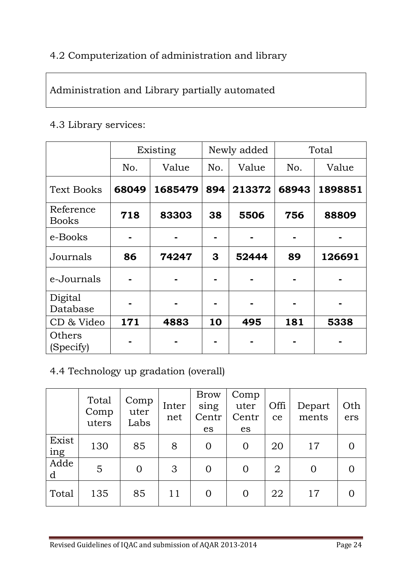## 4.2 Computerization of administration and library

## Administration and Library partially automated

#### 4.3 Library services:

|                           |       | Existing |     | Newly added | Total |         |  |
|---------------------------|-------|----------|-----|-------------|-------|---------|--|
|                           | No.   | Value    | No. | Value       | No.   | Value   |  |
| <b>Text Books</b>         | 68049 | 1685479  | 894 | 213372      | 68943 | 1898851 |  |
| Reference<br><b>Books</b> | 718   | 83303    | 38  | 5506        | 756   | 88809   |  |
| e-Books                   |       |          |     |             |       |         |  |
| Journals                  | 86    | 74247    | 3   | 52444       | 89    | 126691  |  |
| e-Journals                |       |          |     |             |       |         |  |
| Digital<br>Database       |       |          |     |             |       |         |  |
| CD & Video                | 171   | 4883     | 10  | 495         | 181   | 5338    |  |
| Others<br>(Specify)       |       |          |     |             |       |         |  |

## 4.4 Technology up gradation (overall)

|              | Total<br>Comp<br>uters | Comp<br>uter<br>Labs | Inter<br>net | <b>Brow</b><br>sing<br>Centr<br>es | Comp<br>uter<br>Centr<br>es | Offi<br>ce     | Depart<br>ments | Oth<br>ers |
|--------------|------------------------|----------------------|--------------|------------------------------------|-----------------------------|----------------|-----------------|------------|
| Exist<br>ing | 130                    | 85                   | 8            | 0                                  | $\overline{0}$              | 20             | 17              |            |
| Adde<br>d    | 5                      | 0                    | 3            | 0                                  | $\Omega$                    | $\overline{2}$ | O               |            |
| Total        | 135                    | 85                   | 11           | $\Omega$                           | 0                           | 22             | 17              |            |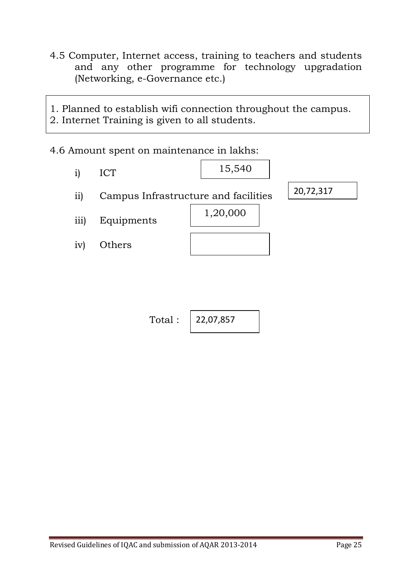4.5 Computer, Internet access, training to teachers and students and any other programme for technology upgradation (Networking, e-Governance etc.)

1. Planned to establish wifi connection throughout the campus. 2. Internet Training is given to all students.

4.6 Amount spent on maintenance in lakhs:



Total: 
$$
\int 22,07,857
$$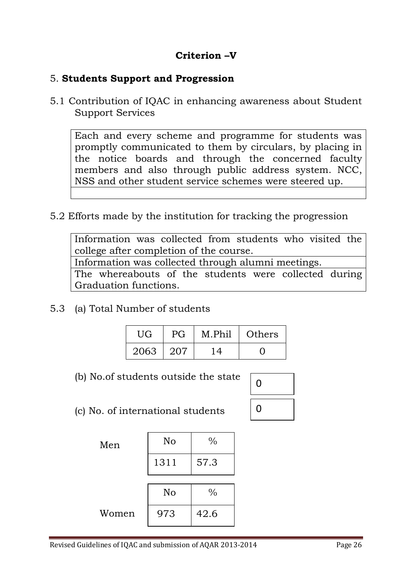## **Criterion –V**

### 5. **Students Support and Progression**

5.1 Contribution of IQAC in enhancing awareness about Student Support Services

Each and every scheme and programme for students was promptly communicated to them by circulars, by placing in the notice boards and through the concerned faculty members and also through public address system. NCC, NSS and other student service schemes were steered up.

5.2 Efforts made by the institution for tracking the progression

Information was collected from students who visited the college after completion of the course. Information was collected through alumni meetings.

The whereabouts of the students were collected during Graduation functions.

5.3 (a) Total Number of students

| UG   | РG    | M.Phil | Others |
|------|-------|--------|--------|
| 2063 | - 207 |        |        |

(b) No.of students outside the state

| 0 |  |
|---|--|
| 0 |  |

(c) No. of international students

| Men   | No   | $\%$ |
|-------|------|------|
|       | 1311 | 57.3 |
|       |      |      |
|       | No   | $\%$ |
| Women | 973  | 42.6 |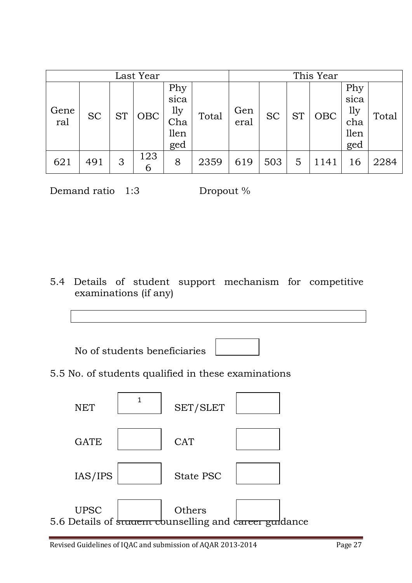| Last Year   |           |           |          |                                          |       |             | This Year |           |            |                                          |       |
|-------------|-----------|-----------|----------|------------------------------------------|-------|-------------|-----------|-----------|------------|------------------------------------------|-------|
| Gene<br>ral | <b>SC</b> | <b>ST</b> | OBC      | Phy<br>sica<br>1ly<br>Cha<br>llen<br>ged | Total | Gen<br>eral | <b>SC</b> | <b>ST</b> | <b>OBC</b> | Phy<br>sica<br>lly<br>cha<br>llen<br>ged | Total |
| 621         | 491       | 3         | 123<br>6 | 8                                        | 2359  | 619         | 503       | 5         | 1141       | 16                                       | 2284  |

Demand ratio 1:3 Dropout %

5.4 Details of student support mechanism for competitive examinations (if any)

No of students beneficiaries



5.5 No. of students qualified in these examinations

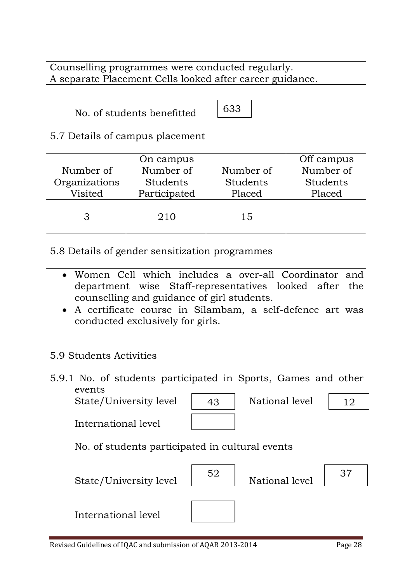Counselling programmes were conducted regularly. A separate Placement Cells looked after career guidance.

No. of students benefitted

633

5.7 Details of campus placement

|               | Off campus   |           |           |
|---------------|--------------|-----------|-----------|
| Number of     | Number of    | Number of | Number of |
| Organizations | Students     | Students  | Students  |
| Visited       | Participated | Placed    | Placed    |
|               | 210          | 15        |           |

5.8 Details of gender sensitization programmes

- Women Cell which includes a over-all Coordinator and department wise Staff-representatives looked after the counselling and guidance of girl students.
- A certificate course in Silambam, a self-defence art was conducted exclusively for girls.

## 5.9 Students Activities

5.9.1 No. of students participated in Sports, Games and other events

State/University level | 43 | National level



12

International level

|  | No. of students participated in cultural events |  |  |
|--|-------------------------------------------------|--|--|

State/University level





International level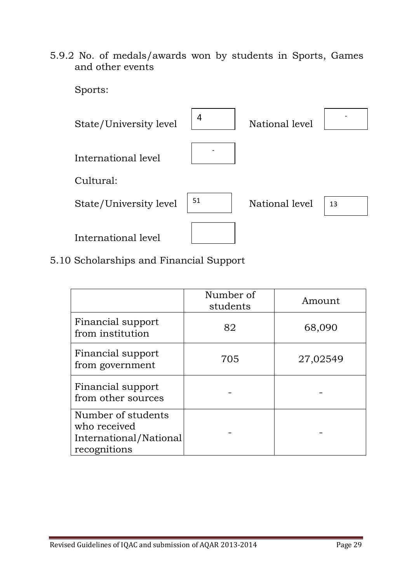5.9.2 No. of medals/awards won by students in Sports, Games and other events

 Sports: State/University level  $\begin{vmatrix} 4 \end{vmatrix}$  International level Cultural: State/University level  $\vert$ <sup>51</sup> International level National level - National level  $\vert$  13

5.10 Scholarships and Financial Support

|                                                                              | Number of<br>students | Amount   |
|------------------------------------------------------------------------------|-----------------------|----------|
| Financial support<br>from institution                                        | 82                    | 68,090   |
| Financial support<br>from government                                         | 705                   | 27,02549 |
| Financial support<br>from other sources                                      |                       |          |
| Number of students<br>who received<br>International/National<br>recognitions |                       |          |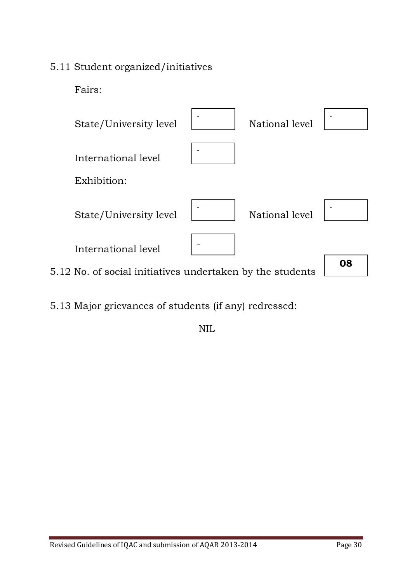## 5.11 Student organized/initiatives

Fairs:



5.13 Major grievances of students (if any) redressed:

NIL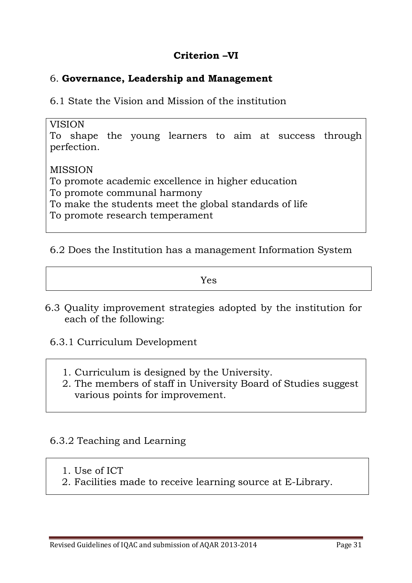## **Criterion –VI**

### 6. **Governance, Leadership and Management**

6.1 State the Vision and Mission of the institution

#### VISION

To shape the young learners to aim at success through perfection.

#### MISSION

To promote academic excellence in higher education

To promote communal harmony

To make the students meet the global standards of life

To promote research temperament

## 6.2 Does the Institution has a management Information System

Yes

- 6.3 Quality improvement strategies adopted by the institution for each of the following:
	- 6.3.1 Curriculum Development
		- 1. Curriculum is designed by the University.
		- 2. The members of staff in University Board of Studies suggest various points for improvement.

## 6.3.2 Teaching and Learning

- 1. Use of ICT
- 2. Facilities made to receive learning source at E-Library.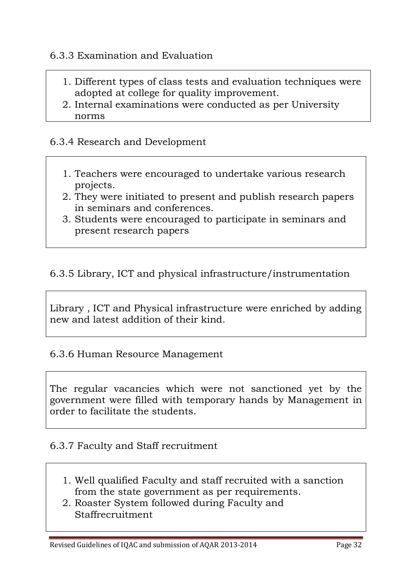### 6.3.3 Examination and Evaluation

- 1. Different types of class tests and evaluation techniques were adopted at college for quality improvement.
- 2. Internal examinations were conducted as per University norms

#### 6.3.4 Research and Development

- 1. Teachers were encouraged to undertake various research projects.
- 2. They were initiated to present and publish research papers in seminars and conferences.
- 3. Students were encouraged to participate in seminars and present research papers

#### 6.3.5 Library, ICT and physical infrastructure/instrumentation

Library , ICT and Physical infrastructure were enriched by adding new and latest addition of their kind.

#### 6.3.6 Human Resource Management

The regular vacancies which were not sanctioned yet by the government were filled with temporary hands by Management in order to facilitate the students.

#### 6.3.7 Faculty and Staff recruitment

- 1. Well qualified Faculty and staff recruited with a sanction from the state government as per requirements.
- 2. Roaster System followed during Faculty and Staffrecruitment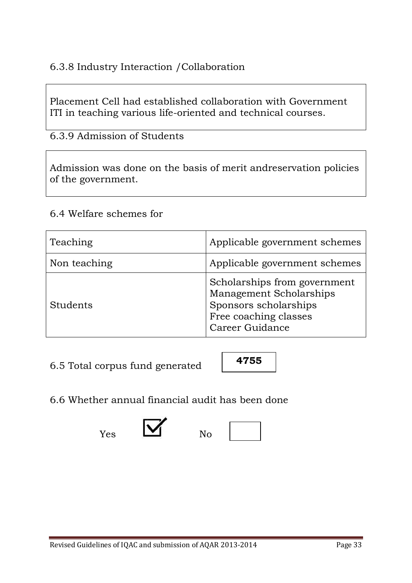## 6.3.8 Industry Interaction /Collaboration

Placement Cell had established collaboration with Government ITI in teaching various life-oriented and technical courses.

6.3.9 Admission of Students

Admission was done on the basis of merit andreservation policies of the government.

#### 6.4 Welfare schemes for

| Teaching     | Applicable government schemes                                                                                                |
|--------------|------------------------------------------------------------------------------------------------------------------------------|
| Non teaching | Applicable government schemes                                                                                                |
| Students     | Scholarships from government<br>Management Scholarships<br>Sponsors scholarships<br>Free coaching classes<br>Career Guidance |

6.5 Total corpus fund generated



6.6 Whether annual financial audit has been done



 $Y_{\text{es}}$  No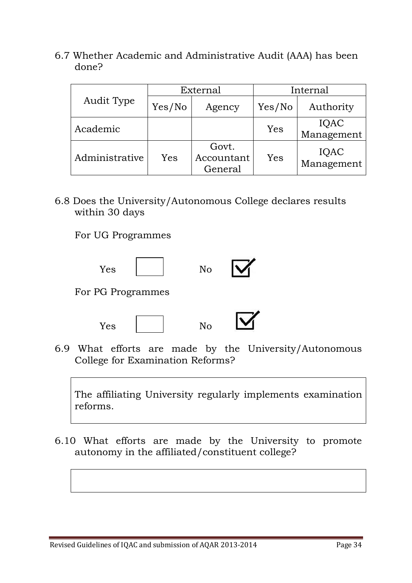6.7 Whether Academic and Administrative Audit (AAA) has been done?

| Audit Type     | External |                                | Internal |                    |
|----------------|----------|--------------------------------|----------|--------------------|
|                | Yes/No   | Agency                         | Yes/No   | Authority          |
| Academic       |          |                                | Yes      | IQAC<br>Management |
| Administrative | Yes      | Govt.<br>Accountant<br>General | Yes      | IQAC<br>Management |

6.8 Does the University/Autonomous College declares results within 30 days

For UG Programmes





6.9 What efforts are made by the University/Autonomous College for Examination Reforms?

The affiliating University regularly implements examination reforms.

6.10 What efforts are made by the University to promote autonomy in the affiliated/constituent college?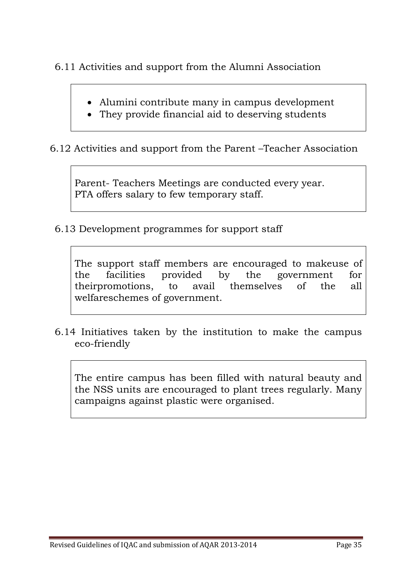6.11 Activities and support from the Alumni Association

- Alumini contribute many in campus development
- They provide financial aid to deserving students

6.12 Activities and support from the Parent –Teacher Association

Parent- Teachers Meetings are conducted every year. PTA offers salary to few temporary staff.

6.13 Development programmes for support staff

The support staff members are encouraged to makeuse of the facilities provided by the government for theirpromotions, to avail themselves of the all welfareschemes of government.

6.14 Initiatives taken by the institution to make the campus eco-friendly

The entire campus has been filled with natural beauty and the NSS units are encouraged to plant trees regularly. Many campaigns against plastic were organised.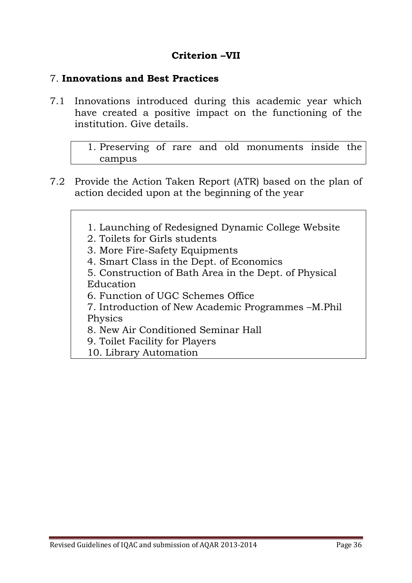## **Criterion –VII**

#### 7. **Innovations and Best Practices**

7.1 Innovations introduced during this academic year which have created a positive impact on the functioning of the institution. Give details.

> 1. Preserving of rare and old monuments inside the campus

- 7.2 Provide the Action Taken Report (ATR) based on the plan of action decided upon at the beginning of the year
	- 1. Launching of Redesigned Dynamic College Website
	- 2. Toilets for Girls students
	- 3. More Fire-Safety Equipments
	- 4. Smart Class in the Dept. of Economics
	- 5. Construction of Bath Area in the Dept. of Physical Education
	- 6. Function of UGC Schemes Office

7. Introduction of New Academic Programmes –M.Phil Physics

- 8. New Air Conditioned Seminar Hall
- 9. Toilet Facility for Players
- 10. Library Automation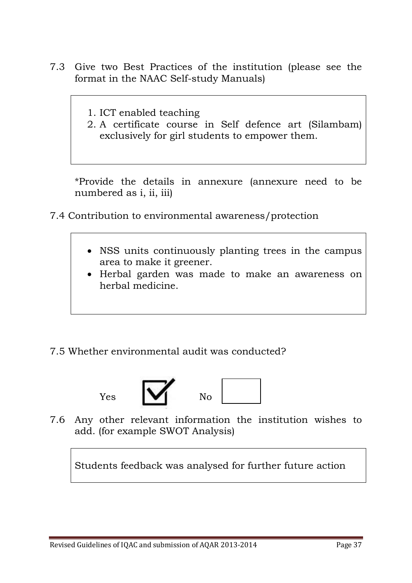- 7.3 Give two Best Practices of the institution (please see the format in the NAAC Self-study Manuals)
	- 1. ICT enabled teaching
	- 2. A certificate course in Self defence art (Silambam) exclusively for girl students to empower them.

 \*Provide the details in annexure (annexure need to be numbered as i, ii, iii)

- 7.4 Contribution to environmental awareness/protection
	- NSS units continuously planting trees in the campus area to make it greener.
	- Herbal garden was made to make an awareness on herbal medicine.

## 7.5 Whether environmental audit was conducted?



7.6 Any other relevant information the institution wishes to add. (for example SWOT Analysis)

Students feedback was analysed for further future action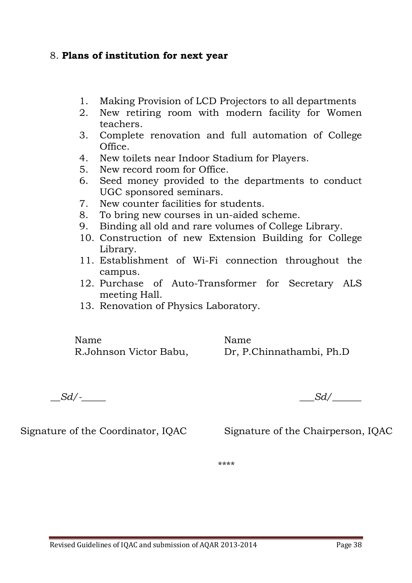## 8. **Plans of institution for next year**

- 1. Making Provision of LCD Projectors to all departments
- 2. New retiring room with modern facility for Women teachers.
- 3. Complete renovation and full automation of College Office.
- 4. New toilets near Indoor Stadium for Players.
- 5. New record room for Office.
- 6. Seed money provided to the departments to conduct UGC sponsored seminars.
- 7. New counter facilities for students.
- 8. To bring new courses in un-aided scheme.
- 9. Binding all old and rare volumes of College Library.
- 10. Construction of new Extension Building for College Library.
- 11. Establishment of Wi-Fi connection throughout the campus.
- 12. Purchase of Auto-Transformer for Secretary ALS meeting Hall.
- 13. Renovation of Physics Laboratory.

Name Name

R.Johnson Victor Babu, Dr, P.Chinnathambi, Ph.D

 $Sd/$ 

Signature of the Coordinator, IQAC Signature of the Chairperson, IQAC

\*\*\*\*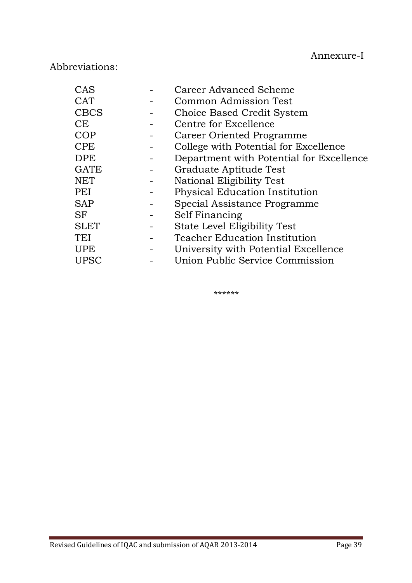## Abbreviations:

| CAS         | Career Advanced Scheme                   |
|-------------|------------------------------------------|
| <b>CAT</b>  | Common Admission Test                    |
| <b>CBCS</b> | Choice Based Credit System               |
| CE          | Centre for Excellence                    |
| COP         | Career Oriented Programme                |
| <b>CPE</b>  | College with Potential for Excellence    |
| <b>DPE</b>  | Department with Potential for Excellence |
| <b>GATE</b> | Graduate Aptitude Test                   |
| <b>NET</b>  | National Eligibility Test                |
| PEI         | Physical Education Institution           |
| <b>SAP</b>  | Special Assistance Programme             |
| <b>SF</b>   | Self Financing                           |
| <b>SLET</b> | State Level Eligibility Test             |
| TEI         | <b>Teacher Education Institution</b>     |
| <b>UPE</b>  | University with Potential Excellence     |
| UPSC        | Union Public Service Commission          |
|             |                                          |

\*\*\*\*\*\*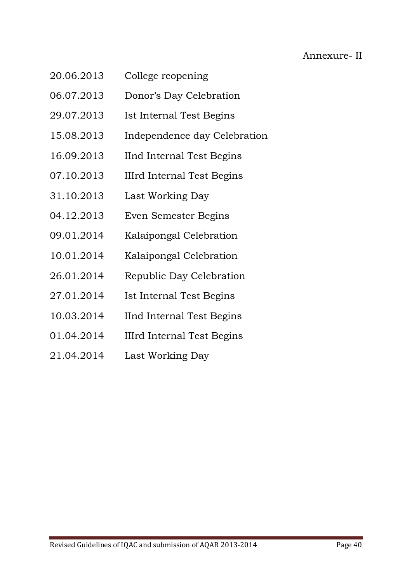## Annexure- II

- 20.06.2013 College reopening
- 06.07.2013 Donor's Day Celebration
- 29.07.2013 Ist Internal Test Begins
- 15.08.2013 Independence day Celebration
- 16.09.2013 IInd Internal Test Begins
- 07.10.2013 IIIrd Internal Test Begins
- 31.10.2013 Last Working Day
- 04.12.2013 Even Semester Begins
- 09.01.2014 Kalaipongal Celebration
- 10.01.2014 Kalaipongal Celebration
- 26.01.2014 Republic Day Celebration
- 27.01.2014 Ist Internal Test Begins
- 10.03.2014 IInd Internal Test Begins
- 01.04.2014 IIIrd Internal Test Begins
- 21.04.2014 Last Working Day